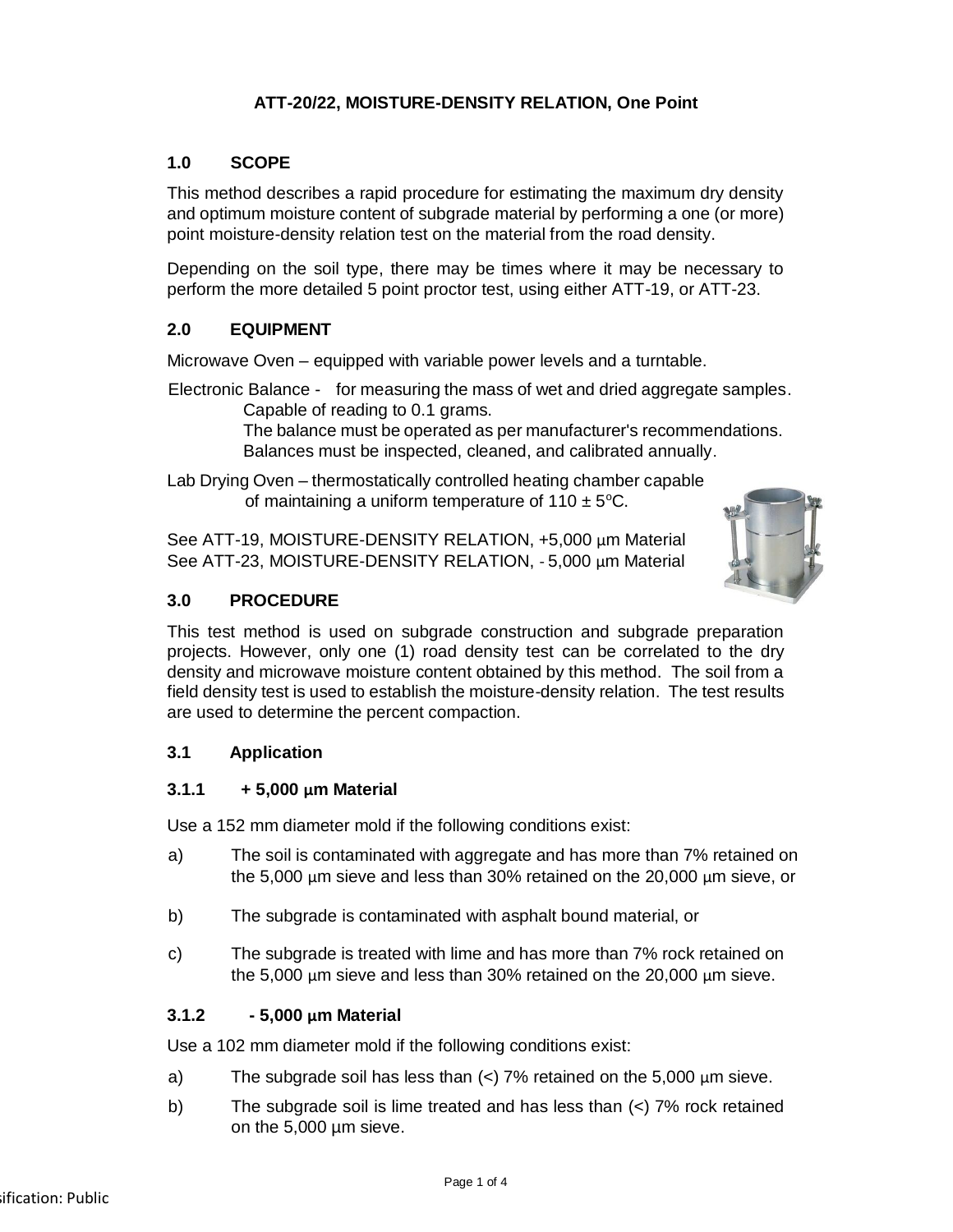# **ATT-20/22, MOISTURE-DENSITY RELATION, One Point**

# **1.0 SCOPE**

This method describes a rapid procedure for estimating the maximum dry density and optimum moisture content of subgrade material by performing a one (or more) point moisture-density relation test on the material from the road density.

Depending on the soil type, there may be times where it may be necessary to perform the more detailed 5 point proctor test, using either ATT-19, or ATT-23.

# **2.0 EQUIPMENT**

Microwave Oven – equipped with variable power levels and a turntable.

Electronic Balance - for measuring the mass of wet and dried aggregate samples. Capable of reading to 0.1 grams.

> The balance must be operated as per manufacturer's recommendations. Balances must be inspected, cleaned, and calibrated annually.

Lab Drying Oven – thermostatically controlled heating chamber capable of maintaining a uniform temperature of  $110 \pm 5^{\circ}$ C.

See ATT-19, MOISTURE-DENSITY RELATION, +5,000 µm Material See ATT-23, MOISTURE-DENSITY RELATION, - 5,000 µm Material



# **3.0 PROCEDURE**

This test method is used on subgrade construction and subgrade preparation projects. However, only one (1) road density test can be correlated to the dry density and microwave moisture content obtained by this method. The soil from a field density test is used to establish the moisture-density relation. The test results are used to determine the percent compaction.

# **3.1 Application**

# **3.1.1 + 5,000 µm Material**

Use a 152 mm diameter mold if the following conditions exist:

- a) The soil is contaminated with aggregate and has more than 7% retained on the 5,000 µm sieve and less than 30% retained on the 20,000 µm sieve, or
- b) The subgrade is contaminated with asphalt bound material, or
- c) The subgrade is treated with lime and has more than 7% rock retained on the 5,000 µm sieve and less than 30% retained on the 20,000 µm sieve.

# **3.1.2 - 5,000 µm Material**

Use a 102 mm diameter mold if the following conditions exist:

- a) The subgrade soil has less than  $\left\langle \epsilon \right\rangle$  7% retained on the 5,000  $\mu$ m sieve.
- b) The subgrade soil is lime treated and has less than  $\left($  <) 7% rock retained on the 5,000 µm sieve.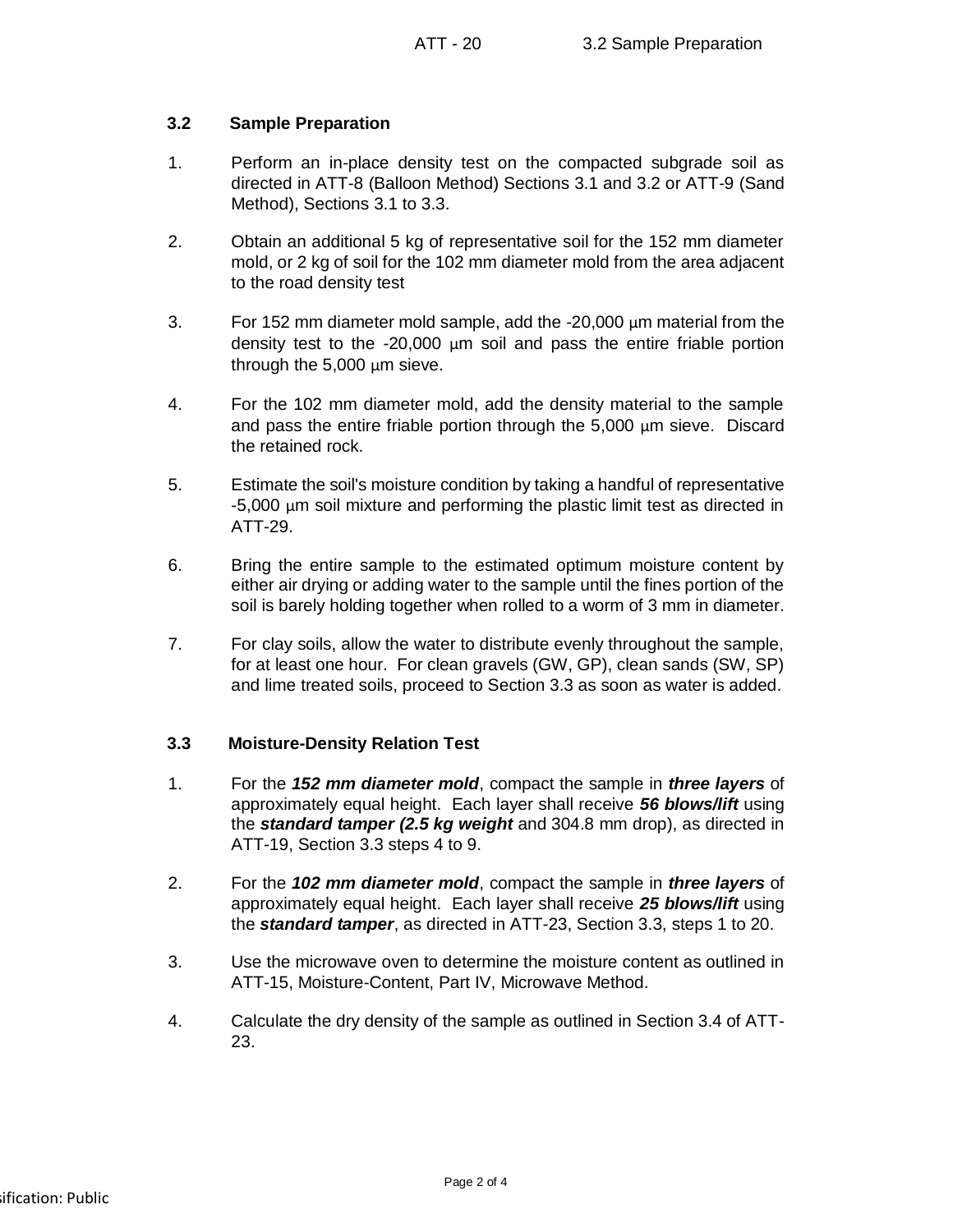### **3.2 Sample Preparation**

- 1. Perform an in-place density test on the compacted subgrade soil as directed in ATT-8 (Balloon Method) Sections 3.1 and 3.2 or ATT-9 (Sand Method), Sections 3.1 to 3.3.
- 2. Obtain an additional 5 kg of representative soil for the 152 mm diameter mold, or 2 kg of soil for the 102 mm diameter mold from the area adjacent to the road density test
- 3. For 152 mm diameter mold sample, add the -20,000 µm material from the density test to the -20,000 µm soil and pass the entire friable portion through the 5,000 µm sieve.
- 4. For the 102 mm diameter mold, add the density material to the sample and pass the entire friable portion through the 5,000 µm sieve. Discard the retained rock.
- 5. Estimate the soil's moisture condition by taking a handful of representative -5,000 µm soil mixture and performing the plastic limit test as directed in ATT-29.
- 6. Bring the entire sample to the estimated optimum moisture content by either air drying or adding water to the sample until the fines portion of the soil is barely holding together when rolled to a worm of 3 mm in diameter.
- 7. For clay soils, allow the water to distribute evenly throughout the sample, for at least one hour. For clean gravels (GW, GP), clean sands (SW, SP) and lime treated soils, proceed to Section 3.3 as soon as water is added.

### **3.3 Moisture-Density Relation Test**

- 1. For the *152 mm diameter mold*, compact the sample in *three layers* of approximately equal height. Each layer shall receive *56 blows/lift* using the *standard tamper (2.5 kg weight* and 304.8 mm drop), as directed in ATT-19, Section 3.3 steps 4 to 9.
- 2. For the *102 mm diameter mold*, compact the sample in *three layers* of approximately equal height. Each layer shall receive *25 blows/lift* using the *standard tamper*, as directed in ATT-23, Section 3.3, steps 1 to 20.
- 3. Use the microwave oven to determine the moisture content as outlined in ATT-15, Moisture-Content, Part IV, Microwave Method.
- 4. Calculate the dry density of the sample as outlined in Section 3.4 of ATT-23.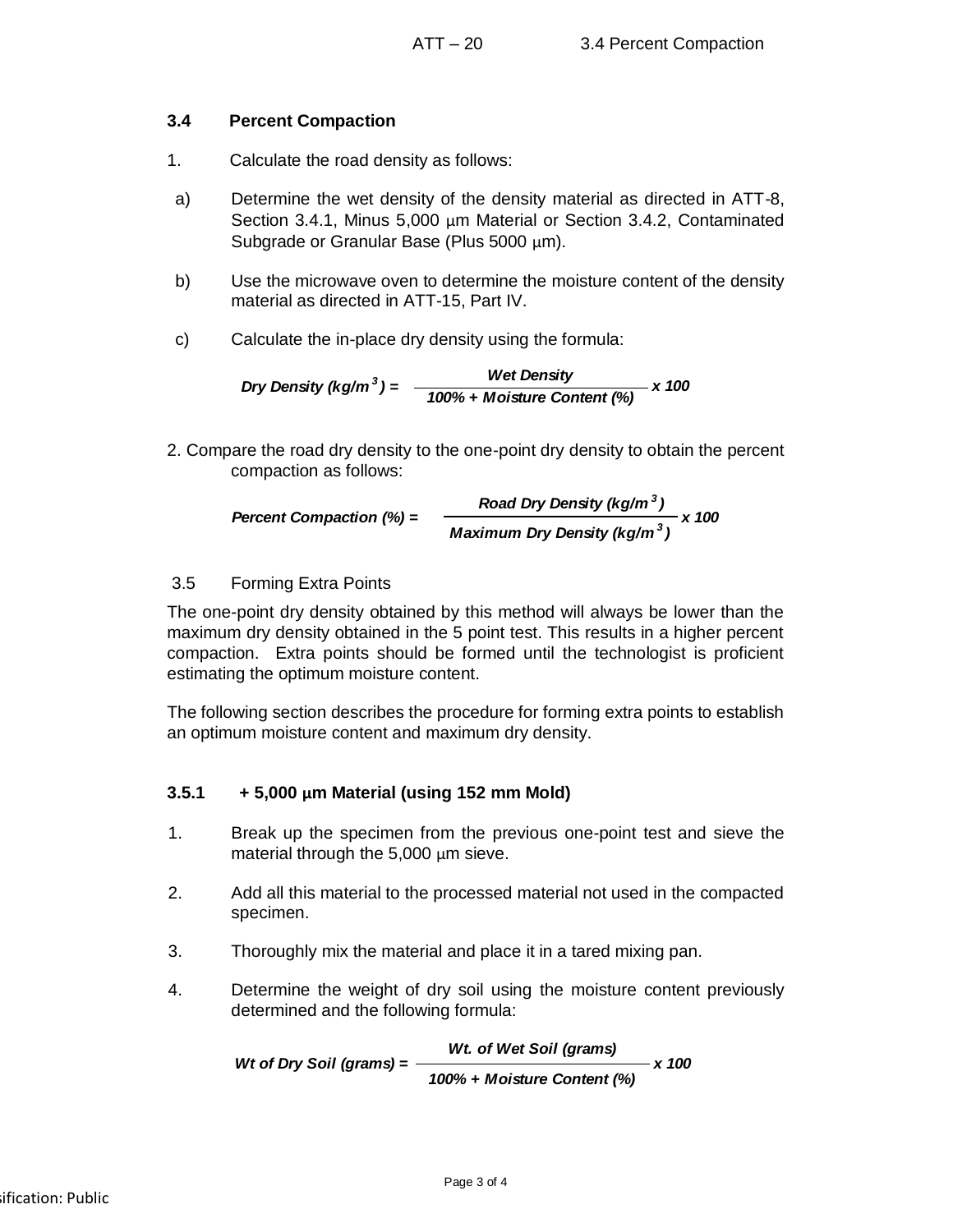# **3.4 Percent Compaction**

- 1. Calculate the road density as follows:
- a) Determine the wet density of the density material as directed in ATT-8, Section 3.4.1, Minus 5,000 µm Material or Section 3.4.2, Contaminated Subgrade or Granular Base (Plus 5000 um).
- b) Use the microwave oven to determine the moisture content of the density material as directed in ATT-15, Part IV.
- c) Calculate the in-place dry density using the formula:

$$
Dry Density (kg/m3) = \frac{Wet Density}{100\% + Moisture Content (%)} \times 100
$$

2. Compare the road dry density to the one-point dry density to obtain the percent compaction as follows:

$$
Percent Companion (%) = \frac{Read Dry Density (kg/m3)}{Maximum Dry Density (kg/m3)} \times 100
$$

# 3.5 Forming Extra Points

The one-point dry density obtained by this method will always be lower than the maximum dry density obtained in the 5 point test. This results in a higher percent compaction. Extra points should be formed until the technologist is proficient estimating the optimum moisture content.

The following section describes the procedure for forming extra points to establish an optimum moisture content and maximum dry density.

# **3.5.1 + 5,000 µm Material (using 152 mm Mold)**

- 1. Break up the specimen from the previous one-point test and sieve the material through the 5,000 µm sieve.
- 2. Add all this material to the processed material not used in the compacted specimen.
- 3. Thoroughly mix the material and place it in a tared mixing pan.
- 4. Determine the weight of dry soil using the moisture content previously determined and the following formula:

*Wt. of Wet Soil (grams) 100% + Moisture Content (%) Wt* of *Drv* Soil (grams) =  $\frac{12}{100}$  x 100